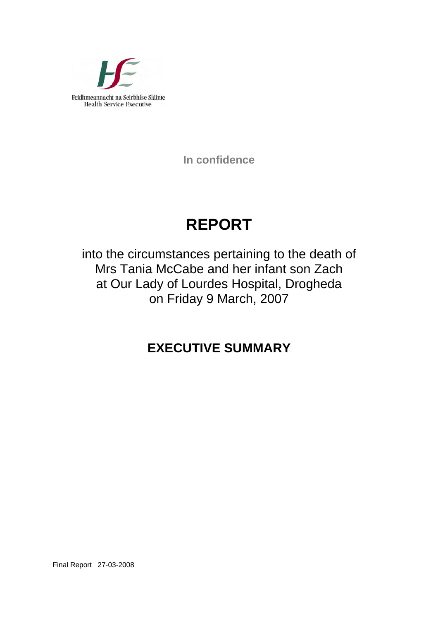

**In confidence** 

# **REPORT**

into the circumstances pertaining to the death of Mrs Tania McCabe and her infant son Zach at Our Lady of Lourdes Hospital, Drogheda on Friday 9 March, 2007

## **EXECUTIVE SUMMARY**

Final Report 27-03-2008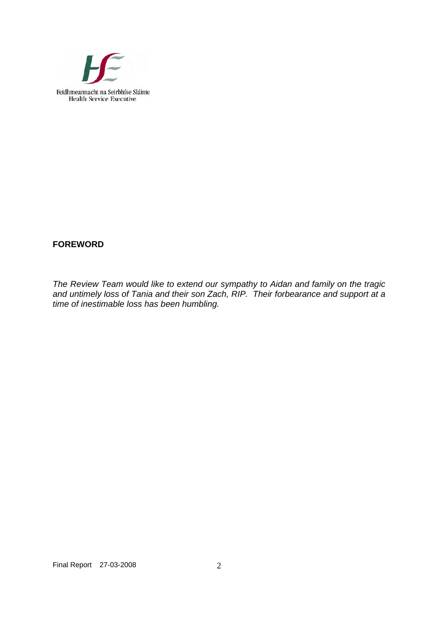

### **FOREWORD**

*The Review Team would like to extend our sympathy to Aidan and family on the tragic and untimely loss of Tania and their son Zach, RIP. Their forbearance and support at a time of inestimable loss has been humbling.*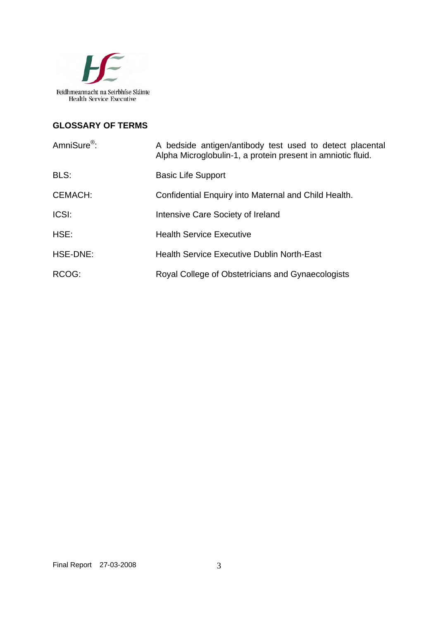

### **GLOSSARY OF TERMS**

| AmniSure <sup>®</sup> : | A bedside antigen/antibody test used to detect placental<br>Alpha Microglobulin-1, a protein present in amniotic fluid. |
|-------------------------|-------------------------------------------------------------------------------------------------------------------------|
| BLS:                    | <b>Basic Life Support</b>                                                                                               |
| <b>CEMACH:</b>          | Confidential Enquiry into Maternal and Child Health.                                                                    |
| ICSI:                   | Intensive Care Society of Ireland                                                                                       |
| HSE:                    | <b>Health Service Executive</b>                                                                                         |
| HSE-DNE:                | <b>Health Service Executive Dublin North-East</b>                                                                       |
| RCOG:                   | Royal College of Obstetricians and Gynaecologists                                                                       |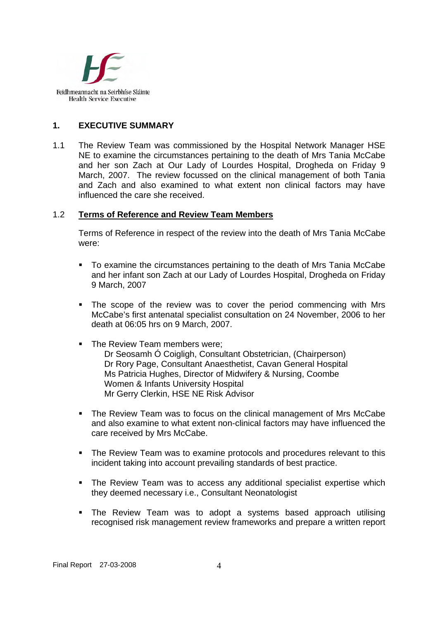

#### **1. EXECUTIVE SUMMARY**

1.1 The Review Team was commissioned by the Hospital Network Manager HSE NE to examine the circumstances pertaining to the death of Mrs Tania McCabe and her son Zach at Our Lady of Lourdes Hospital, Drogheda on Friday 9 March, 2007. The review focussed on the clinical management of both Tania and Zach and also examined to what extent non clinical factors may have influenced the care she received.

#### 1.2 **Terms of Reference and Review Team Members**

Terms of Reference in respect of the review into the death of Mrs Tania McCabe were:

- To examine the circumstances pertaining to the death of Mrs Tania McCabe and her infant son Zach at our Lady of Lourdes Hospital, Drogheda on Friday 9 March, 2007
- The scope of the review was to cover the period commencing with Mrs McCabe's first antenatal specialist consultation on 24 November, 2006 to her death at 06:05 hrs on 9 March, 2007.
- The Review Team members were: Dr Seosamh Ó Coigligh, Consultant Obstetrician, (Chairperson) Dr Rory Page, Consultant Anaesthetist, Cavan General Hospital Ms Patricia Hughes, Director of Midwifery & Nursing, Coombe Women & Infants University Hospital Mr Gerry Clerkin, HSE NE Risk Advisor
- The Review Team was to focus on the clinical management of Mrs McCabe and also examine to what extent non-clinical factors may have influenced the care received by Mrs McCabe.
- The Review Team was to examine protocols and procedures relevant to this incident taking into account prevailing standards of best practice.
- The Review Team was to access any additional specialist expertise which they deemed necessary i.e., Consultant Neonatologist
- The Review Team was to adopt a systems based approach utilising recognised risk management review frameworks and prepare a written report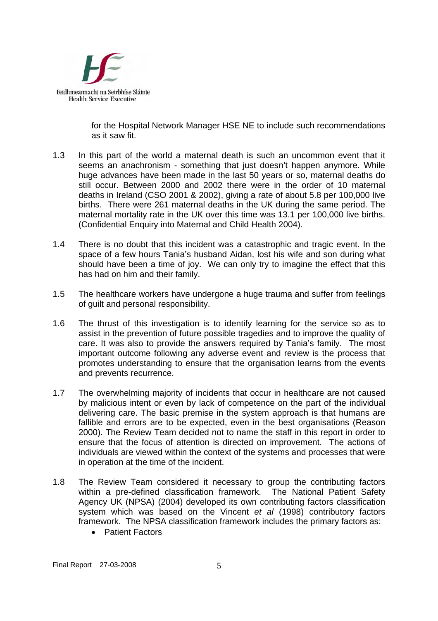

for the Hospital Network Manager HSE NE to include such recommendations as it saw fit.

- 1.3 In this part of the world a maternal death is such an uncommon event that it seems an anachronism - something that just doesn't happen anymore. While huge advances have been made in the last 50 years or so, maternal deaths do still occur. Between 2000 and 2002 there were in the order of 10 maternal deaths in Ireland (CSO 2001 & 2002), giving a rate of about 5.8 per 100,000 live births. There were 261 maternal deaths in the UK during the same period. The maternal mortality rate in the UK over this time was 13.1 per 100,000 live births. (Confidential Enquiry into Maternal and Child Health 2004).
- 1.4 There is no doubt that this incident was a catastrophic and tragic event. In the space of a few hours Tania's husband Aidan, lost his wife and son during what should have been a time of joy. We can only try to imagine the effect that this has had on him and their family.
- 1.5 The healthcare workers have undergone a huge trauma and suffer from feelings of guilt and personal responsibility.
- 1.6 The thrust of this investigation is to identify learning for the service so as to assist in the prevention of future possible tragedies and to improve the quality of care. It was also to provide the answers required by Tania's family. The most important outcome following any adverse event and review is the process that promotes understanding to ensure that the organisation learns from the events and prevents recurrence.
- 1.7 The overwhelming majority of incidents that occur in healthcare are not caused by malicious intent or even by lack of competence on the part of the individual delivering care. The basic premise in the system approach is that humans are fallible and errors are to be expected, even in the best organisations (Reason 2000). The Review Team decided not to name the staff in this report in order to ensure that the focus of attention is directed on improvement. The actions of individuals are viewed within the context of the systems and processes that were in operation at the time of the incident.
- 1.8 The Review Team considered it necessary to group the contributing factors within a pre-defined classification framework. The National Patient Safety Agency UK (NPSA) (2004) developed its own contributing factors classification system which was based on the Vincent *et al* (1998) contributory factors framework. The NPSA classification framework includes the primary factors as:
	- Patient Factors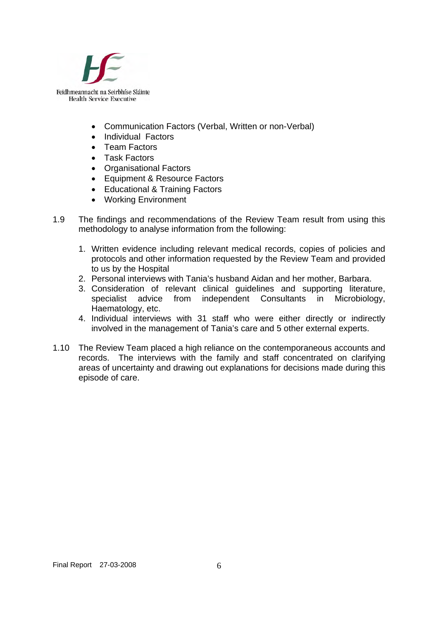

- Communication Factors (Verbal, Written or non-Verbal)
- Individual Factors
- Team Factors
- Task Factors
- Organisational Factors
- Equipment & Resource Factors
- Educational & Training Factors
- Working Environment
- 1.9 The findings and recommendations of the Review Team result from using this methodology to analyse information from the following:
	- 1. Written evidence including relevant medical records, copies of policies and protocols and other information requested by the Review Team and provided to us by the Hospital
	- 2. Personal interviews with Tania's husband Aidan and her mother, Barbara.
	- 3. Consideration of relevant clinical guidelines and supporting literature, specialist advice from independent Consultants in Microbiology, Haematology, etc.
	- 4. Individual interviews with 31 staff who were either directly or indirectly involved in the management of Tania's care and 5 other external experts.
- 1.10 The Review Team placed a high reliance on the contemporaneous accounts and records. The interviews with the family and staff concentrated on clarifying areas of uncertainty and drawing out explanations for decisions made during this episode of care.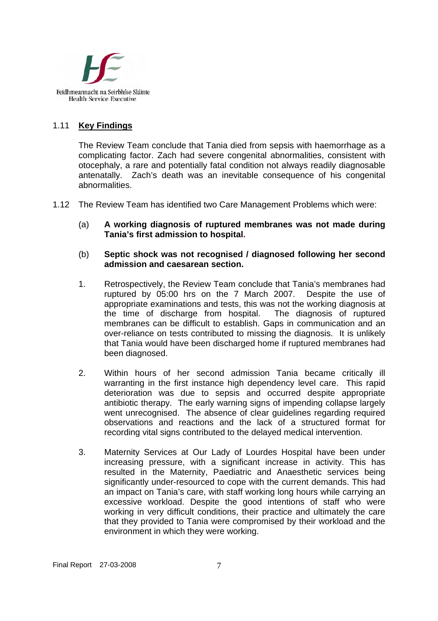

#### 1.11 **Key Findings**

The Review Team conclude that Tania died from sepsis with haemorrhage as a complicating factor. Zach had severe congenital abnormalities, consistent with otocephaly, a rare and potentially fatal condition not always readily diagnosable antenatally. Zach's death was an inevitable consequence of his congenital abnormalities.

- 1.12 The Review Team has identified two Care Management Problems which were:
	- (a) **A working diagnosis of ruptured membranes was not made during Tania's first admission to hospital.**
	- (b) **Septic shock was not recognised / diagnosed following her second admission and caesarean section.**
	- 1. Retrospectively, the Review Team conclude that Tania's membranes had ruptured by 05:00 hrs on the 7 March 2007. Despite the use of appropriate examinations and tests, this was not the working diagnosis at the time of discharge from hospital. The diagnosis of ruptured membranes can be difficult to establish. Gaps in communication and an over-reliance on tests contributed to missing the diagnosis. It is unlikely that Tania would have been discharged home if ruptured membranes had been diagnosed.
	- 2. Within hours of her second admission Tania became critically ill warranting in the first instance high dependency level care. This rapid deterioration was due to sepsis and occurred despite appropriate antibiotic therapy. The early warning signs of impending collapse largely went unrecognised. The absence of clear guidelines regarding required observations and reactions and the lack of a structured format for recording vital signs contributed to the delayed medical intervention.
	- 3. Maternity Services at Our Lady of Lourdes Hospital have been under increasing pressure, with a significant increase in activity. This has resulted in the Maternity, Paediatric and Anaesthetic services being significantly under-resourced to cope with the current demands. This had an impact on Tania's care, with staff working long hours while carrying an excessive workload. Despite the good intentions of staff who were working in very difficult conditions, their practice and ultimately the care that they provided to Tania were compromised by their workload and the environment in which they were working.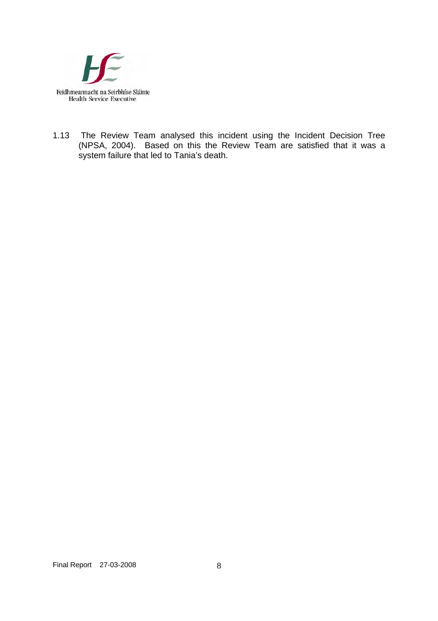

1.13 The Review Team analysed this incident using the Incident Decision Tree (NPSA, 2004). Based on this the Review Team are satisfied that it was a system failure that led to Tania's death.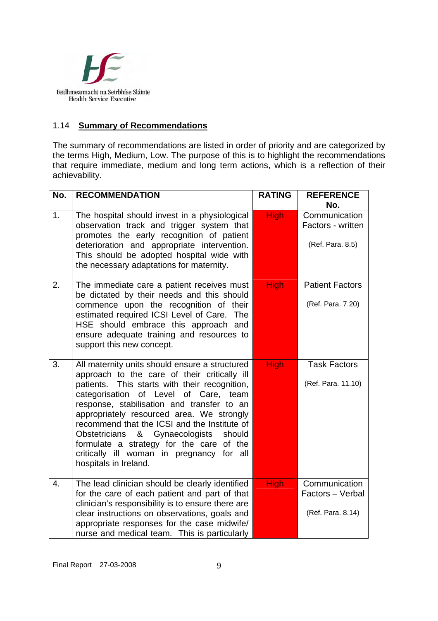

#### 1.14 **Summary of Recommendations**

The summary of recommendations are listed in order of priority and are categorized by the terms High, Medium, Low. The purpose of this is to highlight the recommendations that require immediate, medium and long term actions, which is a reflection of their achievability.

| No. | <b>RECOMMENDATION</b>                                                                                                                                                                                                                                                                                                                                                                                                                                                                                   | <b>RATING</b> | <b>REFERENCE</b><br>No.                                |
|-----|---------------------------------------------------------------------------------------------------------------------------------------------------------------------------------------------------------------------------------------------------------------------------------------------------------------------------------------------------------------------------------------------------------------------------------------------------------------------------------------------------------|---------------|--------------------------------------------------------|
| 1.  | The hospital should invest in a physiological<br>observation track and trigger system that<br>promotes the early recognition of patient<br>deterioration and appropriate intervention.<br>This should be adopted hospital wide with<br>the necessary adaptations for maternity.                                                                                                                                                                                                                         | <b>High</b>   | Communication<br>Factors - written<br>(Ref. Para. 8.5) |
| 2.  | The immediate care a patient receives must<br>be dictated by their needs and this should<br>commence upon the recognition of their<br>estimated required ICSI Level of Care. The<br>HSE should embrace this approach and<br>ensure adequate training and resources to<br>support this new concept.                                                                                                                                                                                                      | <b>High</b>   | <b>Patient Factors</b><br>(Ref. Para. 7.20)            |
| 3.  | All maternity units should ensure a structured<br>approach to the care of their critically ill<br>patients. This starts with their recognition,<br>categorisation of Level of Care, team<br>response, stabilisation and transfer to an<br>appropriately resourced area. We strongly<br>recommend that the ICSI and the Institute of<br>Gynaecologists<br>Obstetricians<br>&<br>should<br>formulate a strategy for the care of the<br>critically ill woman in pregnancy for all<br>hospitals in Ireland. | <b>High</b>   | <b>Task Factors</b><br>(Ref. Para. 11.10)              |
| 4.  | The lead clinician should be clearly identified<br>for the care of each patient and part of that<br>clinician's responsibility is to ensure there are<br>clear instructions on observations, goals and<br>appropriate responses for the case midwife/<br>nurse and medical team. This is particularly                                                                                                                                                                                                   | <b>High</b>   | Communication<br>Factors - Verbal<br>(Ref. Para. 8.14) |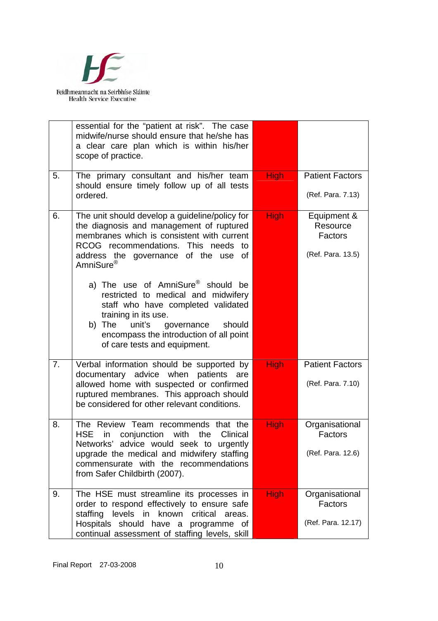

|    | essential for the "patient at risk". The case<br>midwife/nurse should ensure that he/she has<br>a clear care plan which is within his/her<br>scope of practice.                                                                                                              |             |                                                         |
|----|------------------------------------------------------------------------------------------------------------------------------------------------------------------------------------------------------------------------------------------------------------------------------|-------------|---------------------------------------------------------|
| 5. | The primary consultant and his/her team<br>should ensure timely follow up of all tests<br>ordered.                                                                                                                                                                           | <b>High</b> | <b>Patient Factors</b><br>(Ref. Para. 7.13)             |
| 6. | The unit should develop a guideline/policy for<br>the diagnosis and management of ruptured<br>membranes which is consistent with current<br>RCOG recommendations. This needs to<br>address the governance of the use of<br>AmniSure <sup>®</sup>                             | <b>High</b> | Equipment &<br>Resource<br>Factors<br>(Ref. Para. 13.5) |
|    | a) The use of AmniSure <sup>®</sup> should<br>be<br>restricted to medical and midwifery<br>staff who have completed validated<br>training in its use.<br>b) The<br>unit's<br>governance<br>should<br>encompass the introduction of all point<br>of care tests and equipment. |             |                                                         |
| 7. | Verbal information should be supported by<br>documentary advice when<br>patients<br>are<br>allowed home with suspected or confirmed<br>ruptured membranes. This approach should<br>be considered for other relevant conditions.                                              | <b>High</b> | <b>Patient Factors</b><br>(Ref. Para. 7.10)             |
| 8. | The Review Team recommends that the<br><b>HSE</b><br>Clinical<br>conjunction<br>with<br>the<br>in<br>Networks' advice would seek to<br>urgently<br>upgrade the medical and midwifery staffing<br>commensurate with the recommendations<br>from Safer Childbirth (2007).      | <b>High</b> | Organisational<br>Factors<br>(Ref. Para. 12.6)          |
| 9. | The HSE must streamline its processes in<br>order to respond effectively to ensure safe<br>staffing<br>levels in<br>known<br>critical<br>areas.<br>Hospitals should<br>have a<br>programme of<br>continual assessment of staffing levels, skill                              | <b>High</b> | Organisational<br>Factors<br>(Ref. Para. 12.17)         |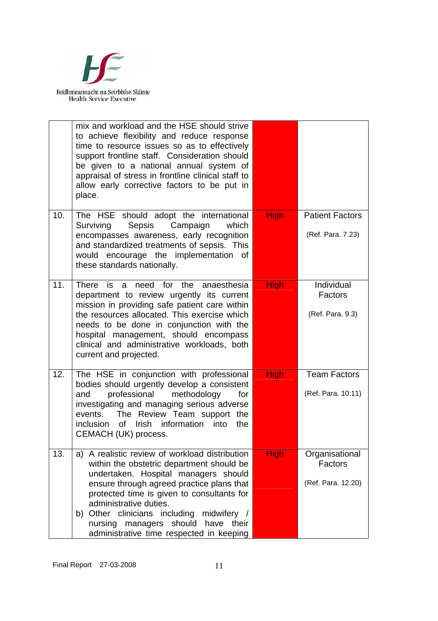

|     | mix and workload and the HSE should strive<br>to achieve flexibility and reduce response<br>time to resource issues so as to effectively<br>support frontline staff. Consideration should<br>be given to a national annual system of<br>appraisal of stress in frontline clinical staff to<br>allow early corrective factors to be put in<br>place.                                                 |             |                                                 |
|-----|-----------------------------------------------------------------------------------------------------------------------------------------------------------------------------------------------------------------------------------------------------------------------------------------------------------------------------------------------------------------------------------------------------|-------------|-------------------------------------------------|
| 10. | The HSE should adopt the international<br>Sepsis<br>Campaign<br>which<br>Surviving<br>encompasses awareness, early recognition<br>and standardized treatments of sepsis. This<br>would encourage the implementation of<br>these standards nationally.                                                                                                                                               | <b>High</b> | <b>Patient Factors</b><br>(Ref. Para. 7.23)     |
| 11. | There is a need for the anaesthesia<br>department to review urgently its current<br>mission in providing safe patient care within<br>the resources allocated. This exercise which<br>needs to be done in conjunction with the<br>hospital management, should encompass<br>clinical and administrative workloads, both<br>current and projected.                                                     | <b>High</b> | Individual<br>Factors<br>(Ref. Para. 9.3)       |
| 12. | The HSE in conjunction with professional<br>bodies should urgently develop a consistent<br>professional<br>methodology<br>and<br>for<br>investigating and managing serious adverse<br>events. The Review Team support the<br>inclusion<br><sub>of</sub><br>Irish information into<br>the<br>CEMACH (UK) process.                                                                                    | <b>High</b> | <b>Team Factors</b><br>(Ref. Para. 10.11)       |
| 13. | a) A realistic review of workload distribution<br>within the obstetric department should be<br>undertaken. Hospital managers should<br>ensure through agreed practice plans that<br>protected time is given to consultants for<br>administrative duties.<br>b) Other clinicians including<br>midwifery /<br>should<br>nursing<br>have their<br>managers<br>administrative time respected in keeping | <b>High</b> | Organisational<br>Factors<br>(Ref. Para. 12.20) |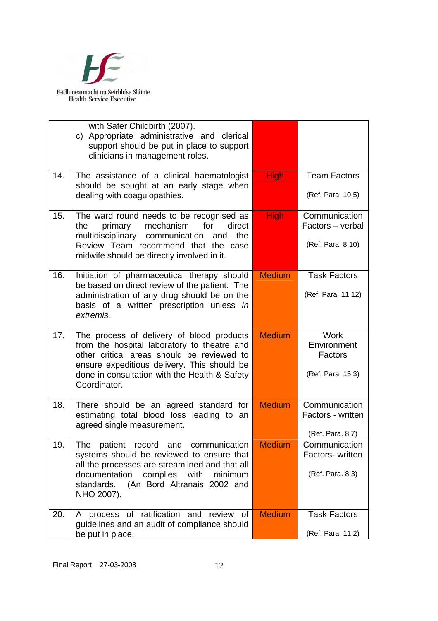

|     | with Safer Childbirth (2007).<br>c) Appropriate administrative and clerical<br>support should be put in place to support<br>clinicians in management roles.                                                                                            |               |                                                            |
|-----|--------------------------------------------------------------------------------------------------------------------------------------------------------------------------------------------------------------------------------------------------------|---------------|------------------------------------------------------------|
| 14. | The assistance of a clinical haematologist<br>should be sought at an early stage when<br>dealing with coagulopathies.                                                                                                                                  | <b>High</b>   | <b>Team Factors</b><br>(Ref. Para. 10.5)                   |
| 15. | The ward round needs to be recognised as<br>mechanism<br>primary<br>for<br>direct<br>the<br>multidisciplinary<br>communication<br>the<br>and<br>Review Team recommend that the case<br>midwife should be directly involved in it.                      | <b>High</b>   | Communication<br>Factors - verbal<br>(Ref. Para. 8.10)     |
| 16. | Initiation of pharmaceutical therapy should<br>be based on direct review of the patient. The<br>administration of any drug should be on the<br>basis of a written prescription unless in<br>extremis.                                                  | <b>Medium</b> | <b>Task Factors</b><br>(Ref. Para. 11.12)                  |
| 17. | The process of delivery of blood products<br>from the hospital laboratory to theatre and<br>other critical areas should be reviewed to<br>ensure expeditious delivery. This should be<br>done in consultation with the Health & Safety<br>Coordinator. | <b>Medium</b> | <b>Work</b><br>Environment<br>Factors<br>(Ref. Para. 15.3) |
| 18. | There should be an agreed standard for<br>estimating total blood loss leading to an<br>agreed single measurement.                                                                                                                                      | <b>Medium</b> | Communication<br>Factors - written<br>(Ref. Para. 8.7)     |
| 19. | communication<br>patient<br>The<br>and<br>record<br>systems should be reviewed to ensure that<br>all the processes are streamlined and that all<br>documentation<br>complies<br>with<br>minimum                                                        | <b>Medium</b> | Communication<br>Factors- written<br>(Ref. Para. 8.3)      |
|     | (An Bord Altranais 2002 and<br>standards.<br>NHO 2007).<br>process of ratification and review                                                                                                                                                          |               |                                                            |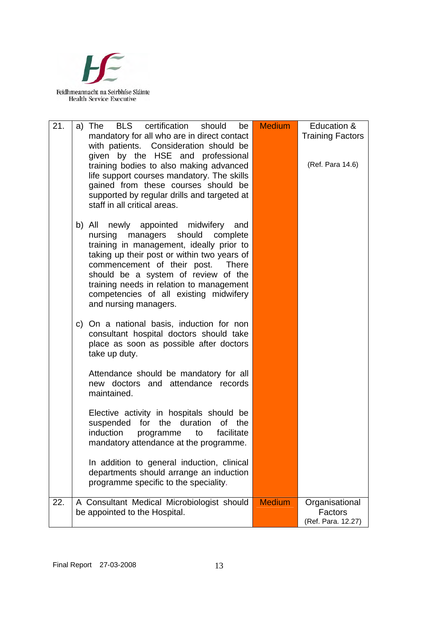

| 21. | <b>BLS</b> certification<br>should<br>be<br>a)<br>The<br>mandatory for all who are in direct contact<br>with patients. Consideration should be<br>given by the HSE and professional<br>training bodies to also making advanced<br>life support courses mandatory. The skills<br>gained from these courses should be<br>supported by regular drills and targeted at<br>staff in all critical areas. | <b>Medium</b> | Education &<br><b>Training Factors</b><br>(Ref. Para 14.6) |
|-----|----------------------------------------------------------------------------------------------------------------------------------------------------------------------------------------------------------------------------------------------------------------------------------------------------------------------------------------------------------------------------------------------------|---------------|------------------------------------------------------------|
|     | newly appointed midwifery and<br>b) All<br>managers should<br>nursing<br>complete<br>training in management, ideally prior to<br>taking up their post or within two years of<br>commencement of their post. There<br>should be a system of review of the<br>training needs in relation to management<br>competencies of all existing midwifery<br>and nursing managers.                            |               |                                                            |
|     | c) On a national basis, induction for non<br>consultant hospital doctors should take<br>place as soon as possible after doctors<br>take up duty.                                                                                                                                                                                                                                                   |               |                                                            |
|     | Attendance should be mandatory for all<br>new doctors and attendance records<br>maintained.                                                                                                                                                                                                                                                                                                        |               |                                                            |
|     | Elective activity in hospitals should be<br>suspended<br>for<br>duration<br>of<br>the<br>the<br>induction<br>facilitate<br>programme<br>to<br>mandatory attendance at the programme.                                                                                                                                                                                                               |               |                                                            |
|     | In addition to general induction, clinical<br>departments should arrange an induction<br>programme specific to the speciality.                                                                                                                                                                                                                                                                     |               |                                                            |
| 22. | A Consultant Medical Microbiologist should<br>be appointed to the Hospital.                                                                                                                                                                                                                                                                                                                        | <b>Medium</b> | Organisational<br>Factors<br>(Ref. Para. 12.27)            |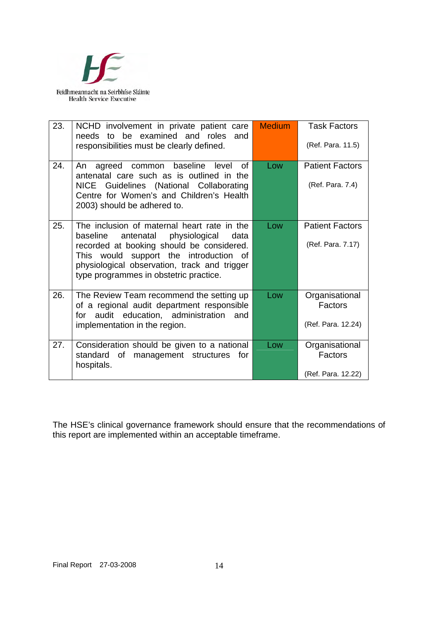

| 23. | NCHD involvement in private patient care<br>needs to be examined and roles<br>and<br>responsibilities must be clearly defined.                                                                                                                                                 | <b>Medium</b> | <b>Task Factors</b><br>(Ref. Para. 11.5)               |
|-----|--------------------------------------------------------------------------------------------------------------------------------------------------------------------------------------------------------------------------------------------------------------------------------|---------------|--------------------------------------------------------|
| 24. | agreed common baseline level<br>Ωf<br>An<br>antenatal care such as is outlined in the<br>NICE Guidelines (National Collaborating<br>Centre for Women's and Children's Health<br>2003) should be adhered to.                                                                    | Low           | <b>Patient Factors</b><br>(Ref. Para. 7.4)             |
| 25. | The inclusion of maternal heart rate in the<br>baseline<br>antenatal<br>physiological<br>data<br>recorded at booking should be considered.<br>This would support the introduction of<br>physiological observation, track and trigger<br>type programmes in obstetric practice. | Low           | <b>Patient Factors</b><br>(Ref. Para. 7.17)            |
| 26. | The Review Team recommend the setting up<br>of a regional audit department responsible<br>audit education, administration<br>for<br>and<br>implementation in the region.                                                                                                       | Low           | Organisational<br><b>Factors</b><br>(Ref. Para. 12.24) |
| 27. | Consideration should be given to a national<br>of management structures<br>standard<br>for<br>hospitals.                                                                                                                                                                       | Low           | Organisational<br>Factors<br>(Ref. Para. 12.22)        |

The HSE's clinical governance framework should ensure that the recommendations of this report are implemented within an acceptable timeframe.